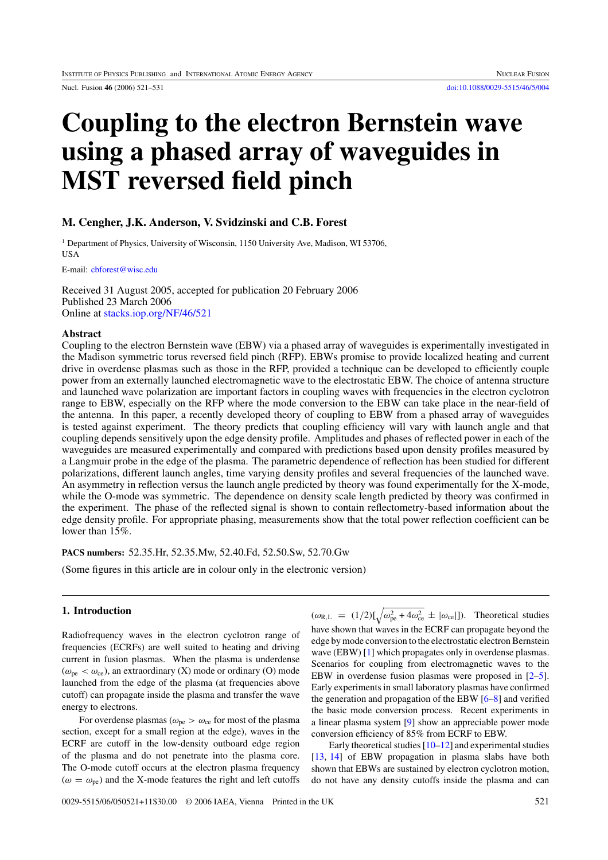# **Coupling to the electron Bernstein wave using a phased array of waveguides in MST reversed field pinch**

# **M. Cengher, J.K. Anderson, V. Svidzinski and C.B. Forest**

<sup>1</sup> Department of Physics, University of Wisconsin, 1150 University Ave, Madison, WI 53706, **IISA** 

E-mail: [cbforest@wisc.edu](mailto: cbforest@wisc.edu)

Received 31 August 2005, accepted for publication 20 February 2006 Published 23 March 2006 Online at [stacks.iop.org/NF/46/521](http://stacks.iop.org/nf/46/521)

## **Abstract**

Coupling to the electron Bernstein wave (EBW) via a phased array of waveguides is experimentally investigated in the Madison symmetric torus reversed field pinch (RFP). EBWs promise to provide localized heating and current drive in overdense plasmas such as those in the RFP, provided a technique can be developed to efficiently couple power from an externally launched electromagnetic wave to the electrostatic EBW. The choice of antenna structure and launched wave polarization are important factors in coupling waves with frequencies in the electron cyclotron range to EBW, especially on the RFP where the mode conversion to the EBW can take place in the near-field of the antenna. In this paper, a recently developed theory of coupling to EBW from a phased array of waveguides is tested against experiment. The theory predicts that coupling efficiency will vary with launch angle and that coupling depends sensitively upon the edge density profile. Amplitudes and phases of reflected power in each of the waveguides are measured experimentally and compared with predictions based upon density profiles measured by a Langmuir probe in the edge of the plasma. The parametric dependence of reflection has been studied for different polarizations, different launch angles, time varying density profiles and several frequencies of the launched wave. An asymmetry in reflection versus the launch angle predicted by theory was found experimentally for the X-mode, while the O-mode was symmetric. The dependence on density scale length predicted by theory was confirmed in the experiment. The phase of the reflected signal is shown to contain reflectometry-based information about the edge density profile. For appropriate phasing, measurements show that the total power reflection coefficient can be lower than 15%.

**PACS numbers:** 52.35.Hr, 52.35.Mw, 52.40.Fd, 52.50.Sw, 52.70.Gw

(Some figures in this article are in colour only in the electronic version)

## **1. Introduction**

Radiofrequency waves in the electron cyclotron range of frequencies (ECRFs) are well suited to heating and driving current in fusion plasmas. When the plasma is underdense  $(\omega_{pe} < \omega_{ce})$ , an extraordinary (X) mode or ordinary (O) mode launched from the edge of the plasma (at frequencies above cutoff) can propagate inside the plasma and transfer the wave energy to electrons.

For overdense plasmas ( $\omega_{pe} > \omega_{ce}$  for most of the plasma section, except for a small region at the edge), waves in the ECRF are cutoff in the low-density outboard edge region of the plasma and do not penetrate into the plasma core. The O-mode cutoff occurs at the electron plasma frequency  $(\omega = \omega_{\text{pe}})$  and the X-mode features the right and left cutoffs

 $(\omega_{R,L} = (1/2) [\sqrt{\omega_{pe}^2 + 4\omega_{ce}^2} \pm |\omega_{ce}| ]).$  Theoretical studies have shown that waves in the ECRF can propagate beyond the edge by mode conversion to the electrostatic electron Bernstein wave (EBW) [\[1\]](#page-10-0) which propagates only in overdense plasmas. Scenarios for coupling from electromagnetic waves to the EBW in overdense fusion plasmas were proposed in [\[2–5\]](#page-10-0). Early experiments in small laboratory plasmas have confirmed the generation and propagation of the EBW [\[6–8\]](#page-10-0) and verified the basic mode conversion process. Recent experiments in a linear plasma system [\[9\]](#page-10-0) show an appreciable power mode conversion efficiency of 85% from ECRF to EBW.

Early theoretical studies  $[10-12]$  and experimental studies [\[13,](#page-10-0) [14\]](#page-10-0) of EBW propagation in plasma slabs have both shown that EBWs are sustained by electron cyclotron motion, do not have any density cutoffs inside the plasma and can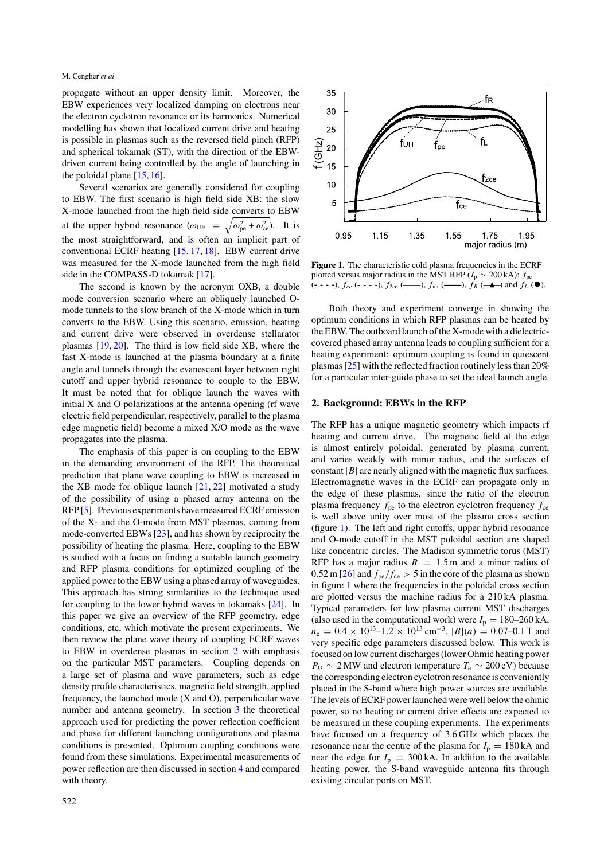propagate without an upper density limit. Moreover, the EBW experiences very localized damping on electrons near the electron cyclotron resonance or its harmonics. Numerical modelling has shown that localized current drive and heating is possible in plasmas such as the reversed field pinch (RFP) and spherical tokamak (ST), with the direction of the EBWdriven current being controlled by the angle of launching in the poloidal plane [\[15,](#page-10-0) [16\]](#page-10-0).

Several scenarios are generally considered for coupling to EBW. The first scenario is high field side XB: the slow X-mode launched from the high field side converts to EBW at the upper hybrid resonance  $(\omega_{UH} = \sqrt{\omega_{pe}^2 + \omega_{ce}^2})$ . It is the most straightforward, and is often an implicit part of conventional ECRF heating [\[15,](#page-10-0) [17,](#page-10-0) [18\]](#page-10-0). EBW current drive was measured for the X-mode launched from the high field side in the COMPASS-D tokamak [\[17\]](#page-10-0).

The second is known by the acronym OXB, a double mode conversion scenario where an obliquely launched Omode tunnels to the slow branch of the X-mode which in turn converts to the EBW. Using this scenario, emission, heating and current drive were observed in overdense stellarator plasmas [\[19,](#page-10-0) [20\]](#page-10-0). The third is low field side XB, where the fast X-mode is launched at the plasma boundary at a finite angle and tunnels through the evanescent layer between right cutoff and upper hybrid resonance to couple to the EBW. It must be noted that for oblique launch the waves with initial X and O polarizations at the antenna opening (rf wave electric field perpendicular, respectively, parallel to the plasma edge magnetic field) become a mixed X/O mode as the wave propagates into the plasma.

The emphasis of this paper is on coupling to the EBW in the demanding environment of the RFP. The theoretical prediction that plane wave coupling to EBW is increased in the XB mode for oblique launch  $[21, 22]$  $[21, 22]$  $[21, 22]$  motivated a study of the possibility of using a phased array antenna on the RFP [\[5\]](#page-10-0). Previous experiments have measured ECRF emission of the X- and the O-mode from MST plasmas, coming from mode-converted EBWs [\[23\]](#page-10-0), and has shown by reciprocity the possibility of heating the plasma. Here, coupling to the EBW is studied with a focus on finding a suitable launch geometry and RFP plasma conditions for optimized coupling of the applied power to the EBW using a phased array of waveguides. This approach has strong similarities to the technique used for coupling to the lower hybrid waves in tokamaks [\[24\]](#page-10-0). In this paper we give an overview of the RFP geometry, edge conditions, etc, which motivate the present experiments. We then review the plane wave theory of coupling ECRF waves to EBW in overdense plasmas in section 2 with emphasis on the particular MST parameters. Coupling depends on a large set of plasma and wave parameters, such as edge density profile characteristics, magnetic field strength, applied frequency, the launched mode (X and O), perpendicular wave number and antenna geometry. In section [3](#page-3-0) the theoretical approach used for predicting the power reflection coefficient and phase for different launching configurations and plasma conditions is presented. Optimum coupling conditions were found from these simulations. Experimental measurements of power reflection are then discussed in section [4](#page-6-0) and compared with theory.



Figure 1. The characteristic cold plasma frequencies in the ECRF plotted versus major radius in the MST RFP ( $I_p \sim 200$  kA):  $f_{pe}$  $(- - - -), f_{ce}(- - - -), f_{2ce}(-)$ ,  $f_{uh}(-)$ ,  $f_R(-)$  and  $f_L^($   $\bullet)$ .

Both theory and experiment converge in showing the optimum conditions in which RFP plasmas can be heated by the EBW. The outboard launch of the X-mode with a dielectriccovered phased array antenna leads to coupling sufficient for a heating experiment: optimum coupling is found in quiescent plasmas [\[25\]](#page-10-0) with the reflected fraction routinely less than 20% for a particular inter-guide phase to set the ideal launch angle.

## **2. Background: EBWs in the RFP**

The RFP has a unique magnetic geometry which impacts rf heating and current drive. The magnetic field at the edge is almost entirely poloidal, generated by plasma current, and varies weakly with minor radius, and the surfaces of constant  $|B|$  are nearly aligned with the magnetic flux surfaces. Electromagnetic waves in the ECRF can propagate only in the edge of these plasmas, since the ratio of the electron plasma frequency  $f_{\text{pe}}$  to the electron cyclotron frequency  $f_{\text{ce}}$ is well above unity over most of the plasma cross section (figure 1). The left and right cutoffs, upper hybrid resonance and O-mode cutoff in the MST poloidal section are shaped like concentric circles. The Madison symmetric torus (MST) RFP has a major radius  $R = 1.5$  m and a minor radius of  $0.52$  m [\[26\]](#page-10-0) and  $f_{\text{pe}}/f_{\text{ce}} > 5$  in the core of the plasma as shown in figure 1 where the frequencies in the poloidal cross section are plotted versus the machine radius for a 210 kA plasma. Typical parameters for low plasma current MST discharges (also used in the computational work) were  $I_p = 180-260 \text{ kA}$ ,  $n_e = 0.4 \times 10^{13} - 1.2 \times 10^{13}$  cm<sup>-3</sup>,  $|B|(a) = 0.07 - 0.1$  T and very specific edge parameters discussed below. This work is focused on low current discharges (lower Ohmic heating power  $P_{\Omega} \sim 2$  MW and electron temperature  $T_e \sim 200 \text{ eV}$ ) because the corresponding electron cyclotron resonance is conveniently placed in the S-band where high power sources are available. The levels of ECRF power launched were well below the ohmic power, so no heating or current drive effects are expected to be measured in these coupling experiments. The experiments have focused on a frequency of 3.6 GHz which places the resonance near the centre of the plasma for  $I_p = 180 \text{ kA}$  and near the edge for  $I_p = 300 \text{ kA}$ . In addition to the available heating power, the S-band waveguide antenna fits through existing circular ports on MST.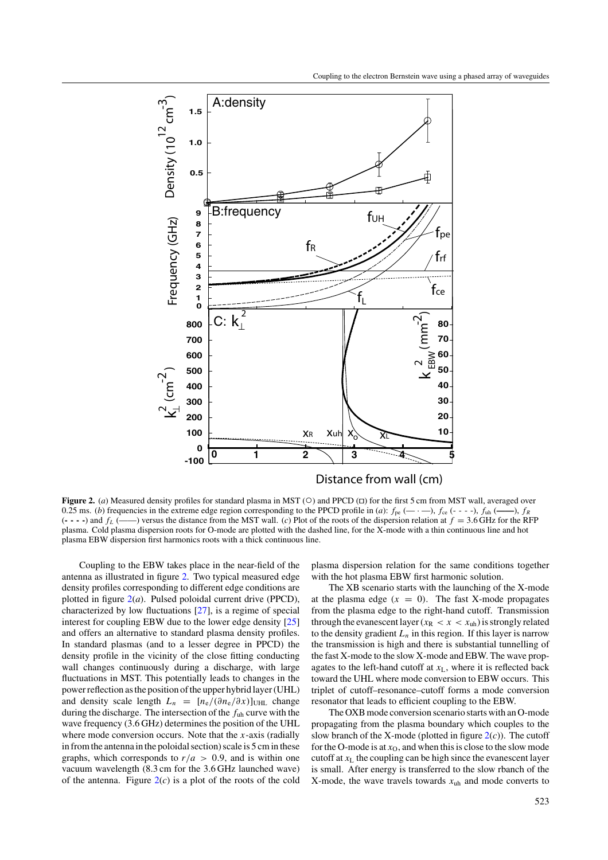<span id="page-2-0"></span>

**Figure 2.** (*a*) Measured density profiles for standard plasma in MST (○) and PPCD (□) for the first 5 cm from MST wall, averaged over 0.25 ms. (*b*) frequencies in the extreme edge region corresponding to the PPCD profile in (*a*):  $f_{\text{pe}}$  ( $\leftarrow$   $\rightarrow$   $\rightarrow$ ),  $f_{\text{ch}}$  ( $\leftarrow$   $\rightarrow$ ),  $f_R$  ( $\leftarrow$   $\rightarrow$   $\rightarrow$ ) and  $f_L$  ( $\rightarrow$   $\rightarrow$ ) versus the distance from t  $-$ ) versus the distance from the MST wall. (*c*) Plot of the roots of the dispersion relation at  $f = 3.6$  GHz for the RFP plasma. Cold plasma dispersion roots for O-mode are plotted with the dashed line, for the X-mode with a thin continuous line and hot plasma EBW dispersion first harmonics roots with a thick continuous line.

Coupling to the EBW takes place in the near-field of the antenna as illustrated in figure 2. Two typical measured edge density profiles corresponding to different edge conditions are plotted in figure 2(*a*). Pulsed poloidal current drive (PPCD), characterized by low fluctuations [\[27\]](#page-10-0), is a regime of special interest for coupling EBW due to the lower edge density [\[25\]](#page-10-0) and offers an alternative to standard plasma density profiles. In standard plasmas (and to a lesser degree in PPCD) the density profile in the vicinity of the close fitting conducting wall changes continuously during a discharge, with large fluctuations in MST. This potentially leads to changes in the power reflection as the position of the upper hybrid layer (UHL) and density scale length  $L_n = [n_e/(\partial n_e/\partial x)]_{\text{UHL}}$  change during the discharge. The intersection of the *f*uh curve with the wave frequency (3.6 GHz) determines the position of the UHL where mode conversion occurs. Note that the *x*-axis (radially in from the antenna in the poloidal section) scale is 5 cm in these graphs, which corresponds to  $r/a > 0.9$ , and is within one vacuum wavelength (8.3 cm for the 3.6 GHz launched wave) of the antenna. Figure  $2(c)$  is a plot of the roots of the cold plasma dispersion relation for the same conditions together with the hot plasma EBW first harmonic solution.

The XB scenario starts with the launching of the X-mode at the plasma edge  $(x = 0)$ . The fast X-mode propagates from the plasma edge to the right-hand cutoff. Transmission through the evanescent layer  $(x_R < x < x_{uh})$  is strongly related to the density gradient  $L_n$  in this region. If this layer is narrow the transmission is high and there is substantial tunnelling of the fast X-mode to the slow X-mode and EBW. The wave propagates to the left-hand cutoff at  $x_L$ , where it is reflected back toward the UHL where mode conversion to EBW occurs. This triplet of cutoff–resonance–cutoff forms a mode conversion resonator that leads to efficient coupling to the EBW.

The OXB mode conversion scenario starts with an O-mode propagating from the plasma boundary which couples to the slow branch of the X-mode (plotted in figure  $2(c)$ ). The cutoff for the O-mode is at  $x<sub>O</sub>$ , and when this is close to the slow mode cutoff at  $x_L$  the coupling can be high since the evanescent layer is small. After energy is transferred to the slow rbanch of the X-mode, the wave travels towards *x*uh and mode converts to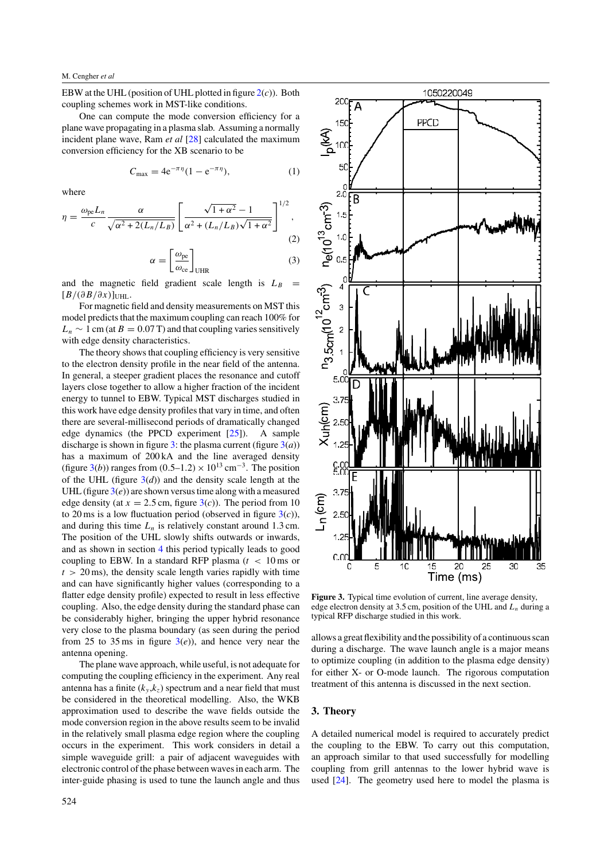<span id="page-3-0"></span>EBW at the UHL (position of UHL plotted in figure  $2(c)$  $2(c)$ ). Both coupling schemes work in MST-like conditions.

One can compute the mode conversion efficiency for a plane wave propagating in a plasma slab. Assuming a normally incident plane wave, Ram *et al* [\[28\]](#page-10-0) calculated the maximum conversion efficiency for the XB scenario to be

$$
C_{\text{max}} = 4e^{-\pi \eta} (1 - e^{-\pi \eta}), \tag{1}
$$

where

$$
\eta = \frac{\omega_{\rm pe} L_n}{c} \frac{\alpha}{\sqrt{\alpha^2 + 2(L_n/L_B)}} \left[ \frac{\sqrt{1 + \alpha^2} - 1}{\alpha^2 + (L_n/L_B)\sqrt{1 + \alpha^2}} \right]^{1/2},\tag{2}
$$

$$
\alpha = \left[\frac{\omega_{\rm pe}}{\omega_{\rm ce}}\right]_{\rm UHR} \tag{3}
$$

and the magnetic field gradient scale length is  $L_B =$  $[B/(\partial B/\partial x)]_{UHI}$ .

For magnetic field and density measurements on MST this model predicts that the maximum coupling can reach 100% for  $L_n \sim 1$  cm (at  $B = 0.07$  T) and that coupling varies sensitively with edge density characteristics.

The theory shows that coupling efficiency is very sensitive to the electron density profile in the near field of the antenna. In general, a steeper gradient places the resonance and cutoff layers close together to allow a higher fraction of the incident energy to tunnel to EBW. Typical MST discharges studied in this work have edge density profiles that vary in time, and often there are several-millisecond periods of dramatically changed edge dynamics (the PPCD experiment [\[25\]](#page-10-0)). A sample discharge is shown in figure 3: the plasma current (figure  $3(a)$ ) has a maximum of 200 kA and the line averaged density (figure  $3(b)$ ) ranges from  $(0.5-1.2) \times 10^{13}$  cm<sup>-3</sup>. The position of the UHL (figure  $3(d)$ ) and the density scale length at the UHL (figure  $3(e)$ ) are shown versus time along with a measured edge density (at  $x = 2.5$  cm, figure  $3(c)$ ). The period from 10 to 20 ms is a low fluctuation period (observed in figure  $3(c)$ ), and during this time  $L_n$  is relatively constant around 1.3 cm. The position of the UHL slowly shifts outwards or inwards, and as shown in section [4](#page-6-0) this period typically leads to good coupling to EBW. In a standard RFP plasma (*t <* 10 ms or  $t > 20$  ms), the density scale length varies rapidly with time and can have significantly higher values (corresponding to a flatter edge density profile) expected to result in less effective coupling. Also, the edge density during the standard phase can be considerably higher, bringing the upper hybrid resonance very close to the plasma boundary (as seen during the period from 25 to 35 ms in figure  $3(e)$ ), and hence very near the antenna opening.

The plane wave approach, while useful, is not adequate for computing the coupling efficiency in the experiment. Any real antenna has a finite  $(k_y, k_z)$  spectrum and a near field that must be considered in the theoretical modelling. Also, the WKB approximation used to describe the wave fields outside the mode conversion region in the above results seem to be invalid in the relatively small plasma edge region where the coupling occurs in the experiment. This work considers in detail a simple waveguide grill: a pair of adjacent waveguides with electronic control of the phase between waves in each arm. The inter-guide phasing is used to tune the launch angle and thus



**Figure 3.** Typical time evolution of current, line average density, edge electron density at 3.5 cm, position of the UHL and *Ln* during a typical RFP discharge studied in this work.

allows a great flexibility and the possibility of a continuous scan during a discharge. The wave launch angle is a major means to optimize coupling (in addition to the plasma edge density) for either X- or O-mode launch. The rigorous computation treatment of this antenna is discussed in the next section.

## **3. Theory**

A detailed numerical model is required to accurately predict the coupling to the EBW. To carry out this computation, an approach similar to that used successfully for modelling coupling from grill antennas to the lower hybrid wave is used [\[24\]](#page-10-0). The geometry used here to model the plasma is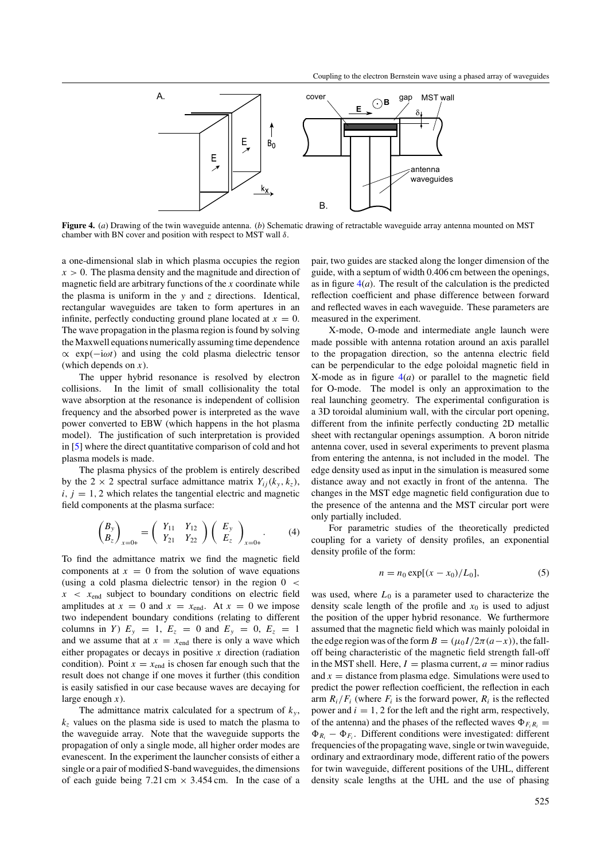<span id="page-4-0"></span>

**Figure 4.** (*a*) Drawing of the twin waveguide antenna. (*b*) Schematic drawing of retractable waveguide array antenna mounted on MST chamber with BN cover and position with respect to MST wall *δ*.

a one-dimensional slab in which plasma occupies the region  $x > 0$ . The plasma density and the magnitude and direction of magnetic field are arbitrary functions of the *x* coordinate while the plasma is uniform in the *y* and *z* directions. Identical, rectangular waveguides are taken to form apertures in an infinite, perfectly conducting ground plane located at  $x = 0$ . The wave propagation in the plasma region is found by solving the Maxwell equations numerically assuming time dependence ∝ exp*(*−i*ωt)* and using the cold plasma dielectric tensor (which depends on *x*).

The upper hybrid resonance is resolved by electron collisions. In the limit of small collisionality the total wave absorption at the resonance is independent of collision frequency and the absorbed power is interpreted as the wave power converted to EBW (which happens in the hot plasma model). The justification of such interpretation is provided in [\[5\]](#page-10-0) where the direct quantitative comparison of cold and hot plasma models is made.

The plasma physics of the problem is entirely described by the 2  $\times$  2 spectral surface admittance matrix  $Y_{ij}$   $(k_y, k_z)$ ,  $i, j = 1, 2$  which relates the tangential electric and magnetic field components at the plasma surface:

$$
\begin{pmatrix} B_{y} \\ B_{z} \end{pmatrix}_{x=0+} = \begin{pmatrix} Y_{11} & Y_{12} \\ Y_{21} & Y_{22} \end{pmatrix} \begin{pmatrix} E_{y} \\ E_{z} \end{pmatrix}_{x=0+} . \tag{4}
$$

To find the admittance matrix we find the magnetic field components at  $x = 0$  from the solution of wave equations (using a cold plasma dielectric tensor) in the region 0 *<*  $x < x_{end}$  subject to boundary conditions on electric field amplitudes at  $x = 0$  and  $x = x_{end}$ . At  $x = 0$  we impose two independent boundary conditions (relating to different columns in *Y*)  $E_y = 1$ ,  $E_z = 0$  and  $E_y = 0$ ,  $E_z = 1$ and we assume that at  $x = x_{end}$  there is only a wave which either propagates or decays in positive *x* direction (radiation condition). Point  $x = x_{end}$  is chosen far enough such that the result does not change if one moves it further (this condition is easily satisfied in our case because waves are decaying for large enough *x*).

The admittance matrix calculated for a spectrum of  $k_y$ ,  $k<sub>z</sub>$  values on the plasma side is used to match the plasma to the waveguide array. Note that the waveguide supports the propagation of only a single mode, all higher order modes are evanescent. In the experiment the launcher consists of either a single or a pair of modified S-band waveguides, the dimensions of each guide being  $7.21 \text{ cm} \times 3.454 \text{ cm}$ . In the case of a pair, two guides are stacked along the longer dimension of the guide, with a septum of width 0.406 cm between the openings, as in figure  $4(a)$ . The result of the calculation is the predicted reflection coefficient and phase difference between forward and reflected waves in each waveguide. These parameters are measured in the experiment.

X-mode, O-mode and intermediate angle launch were made possible with antenna rotation around an axis parallel to the propagation direction, so the antenna electric field can be perpendicular to the edge poloidal magnetic field in X-mode as in figure  $4(a)$  or parallel to the magnetic field for O-mode. The model is only an approximation to the real launching geometry. The experimental configuration is a 3D toroidal aluminium wall, with the circular port opening, different from the infinite perfectly conducting 2D metallic sheet with rectangular openings assumption. A boron nitride antenna cover, used in several experiments to prevent plasma from entering the antenna, is not included in the model. The edge density used as input in the simulation is measured some distance away and not exactly in front of the antenna. The changes in the MST edge magnetic field configuration due to the presence of the antenna and the MST circular port were only partially included.

For parametric studies of the theoretically predicted coupling for a variety of density profiles, an exponential density profile of the form:

$$
n = n_0 \exp[(x - x_0)/L_0],
$$
 (5)

was used, where  $L_0$  is a parameter used to characterize the density scale length of the profile and  $x_0$  is used to adjust the position of the upper hybrid resonance. We furthermore assumed that the magnetic field which was mainly poloidal in the edge region was of the form  $B = (\mu_0 I/2\pi (a-x))$ , the falloff being characteristic of the magnetic field strength fall-off in the MST shell. Here,  $I =$  plasma current,  $a =$  minor radius and  $x =$  distance from plasma edge. Simulations were used to predict the power reflection coefficient, the reflection in each arm  $R_i/F_i$  (where  $F_i$  is the forward power,  $R_i$  is the reflected power and  $i = 1, 2$  for the left and the right arm, respectively, of the antenna) and the phases of the reflected waves  $\Phi_{F_iR_i} =$  $\Phi_{R_i} - \Phi_{F_i}$ . Different conditions were investigated: different frequencies of the propagating wave, single or twin waveguide, ordinary and extraordinary mode, different ratio of the powers for twin waveguide, different positions of the UHL, different density scale lengths at the UHL and the use of phasing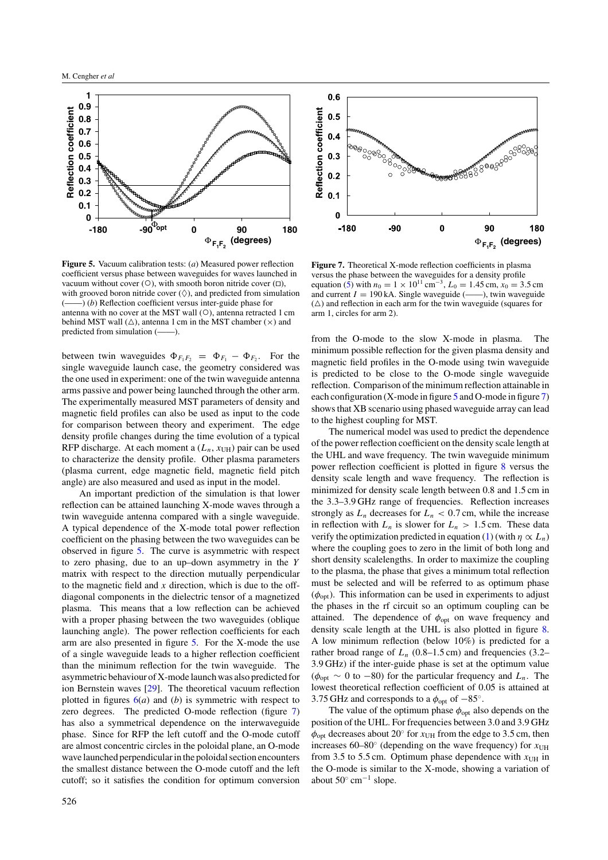<span id="page-5-0"></span>

**Figure 5.** Vacuum calibration tests: (*a*) Measured power reflection coefficient versus phase between waveguides for waves launched in vacuum without cover  $(①)$ , with smooth boron nitride cover  $(①)$ , with grooved boron nitride cover  $(\Diamond)$ , and predicted from simulation (——) (*b*) Reflection coefficient versus inter-guide phase for antenna with no cover at the MST wall  $(○)$ , antenna retracted 1 cm behind MST wall  $(\triangle)$ , antenna 1 cm in the MST chamber  $(\times)$  and predicted from simulation  $(\text{---})$ . predicted from simulation (-

between twin waveguides  $\Phi_{F_1F_2} = \Phi_{F_1} - \Phi_{F_2}$ . For the single waveguide launch case, the geometry considered was the one used in experiment: one of the twin waveguide antenna arms passive and power being launched through the other arm. The experimentally measured MST parameters of density and magnetic field profiles can also be used as input to the code for comparison between theory and experiment. The edge density profile changes during the time evolution of a typical RFP discharge. At each moment a  $(L_n, x_{UH})$  pair can be used to characterize the density profile. Other plasma parameters (plasma current, edge magnetic field, magnetic field pitch angle) are also measured and used as input in the model.

An important prediction of the simulation is that lower reflection can be attained launching X-mode waves through a twin waveguide antenna compared with a single waveguide. A typical dependence of the X-mode total power reflection coefficient on the phasing between the two waveguides can be observed in figure 5. The curve is asymmetric with respect to zero phasing, due to an up–down asymmetry in the *Y* matrix with respect to the direction mutually perpendicular to the magnetic field and *x* direction, which is due to the offdiagonal components in the dielectric tensor of a magnetized plasma. This means that a low reflection can be achieved with a proper phasing between the two waveguides (oblique launching angle). The power reflection coefficients for each arm are also presented in figure 5. For the X-mode the use of a single waveguide leads to a higher reflection coefficient than the minimum reflection for the twin waveguide. The asymmetric behaviour of X-mode launch was also predicted for ion Bernstein waves [\[29\]](#page-10-0). The theoretical vacuum reflection plotted in figures  $6(a)$  $6(a)$  and (*b*) is symmetric with respect to zero degrees. The predicted O-mode reflection (figure 7) has also a symmetrical dependence on the interwaveguide phase. Since for RFP the left cutoff and the O-mode cutoff are almost concentric circles in the poloidal plane, an O-mode wave launched perpendicular in the poloidal section encounters the smallest distance between the O-mode cutoff and the left cutoff; so it satisfies the condition for optimum conversion



**Figure 7.** Theoretical X-mode reflection coefficients in plasma versus the phase between the waveguides for a density profile equation [\(5\)](#page-4-0) with  $n_0 = 1 \times 10^{11}$  cm<sup>-3</sup>,  $L_0 = 1.45$  cm,  $x_0 = 3.5$  cm and current  $I = 190$  kA. Single waveguide  $($ , twin waveguide  $(\triangle)$  and reflection in each arm for the twin waveguide (squares for arm 1, circles for arm 2).

from the O-mode to the slow X-mode in plasma. The minimum possible reflection for the given plasma density and magnetic field profiles in the O-mode using twin waveguide is predicted to be close to the O-mode single waveguide reflection. Comparison of the minimum reflection attainable in each configuration (X-mode in figure 5 and O-mode in figure 7) shows that XB scenario using phased waveguide array can lead to the highest coupling for MST.

The numerical model was used to predict the dependence of the power reflection coefficient on the density scale length at the UHL and wave frequency. The twin waveguide minimum power reflection coefficient is plotted in figure [8](#page-6-0) versus the density scale length and wave frequency. The reflection is minimized for density scale length between 0.8 and 1.5 cm in the 3.3–3.9 GHz range of frequencies. Reflection increases strongly as  $L_n$  decreases for  $L_n < 0.7$  cm, while the increase in reflection with  $L_n$  is slower for  $L_n > 1.5$  cm. These data verify the optimization predicted in equation [\(1\)](#page-3-0) (with  $\eta \propto L_n$ ) where the coupling goes to zero in the limit of both long and short density scalelengths. In order to maximize the coupling to the plasma, the phase that gives a minimum total reflection must be selected and will be referred to as optimum phase  $(\phi_{opt})$ . This information can be used in experiments to adjust the phases in the rf circuit so an optimum coupling can be attained. The dependence of  $\phi_{opt}$  on wave frequency and density scale length at the UHL is also plotted in figure [8.](#page-6-0) A low minimum reflection (below 10%) is predicted for a rather broad range of  $L_n$  (0.8–1.5 cm) and frequencies (3.2– 3.9 GHz) if the inter-guide phase is set at the optimum value (*φ*opt ∼ 0 to −80) for the particular frequency and *Ln*. The lowest theoretical reflection coefficient of 0.05 is attained at 3.75 GHz and corresponds to a  $\phi_{opt}$  of  $-85^\circ$ .

The value of the optimum phase  $\phi_{opt}$  also depends on the position of the UHL. For frequencies between 3.0 and 3.9 GHz  $\phi$ <sub>opt</sub> decreases about 20 $\degree$  for  $x_{UH}$  from the edge to 3.5 cm, then increases 60–80 $\degree$  (depending on the wave frequency) for  $x_{\text{UH}}$ from 3.5 to 5.5 cm. Optimum phase dependence with  $x_{UH}$  in the O-mode is similar to the X-mode, showing a variation of about 50◦ cm−<sup>1</sup> slope.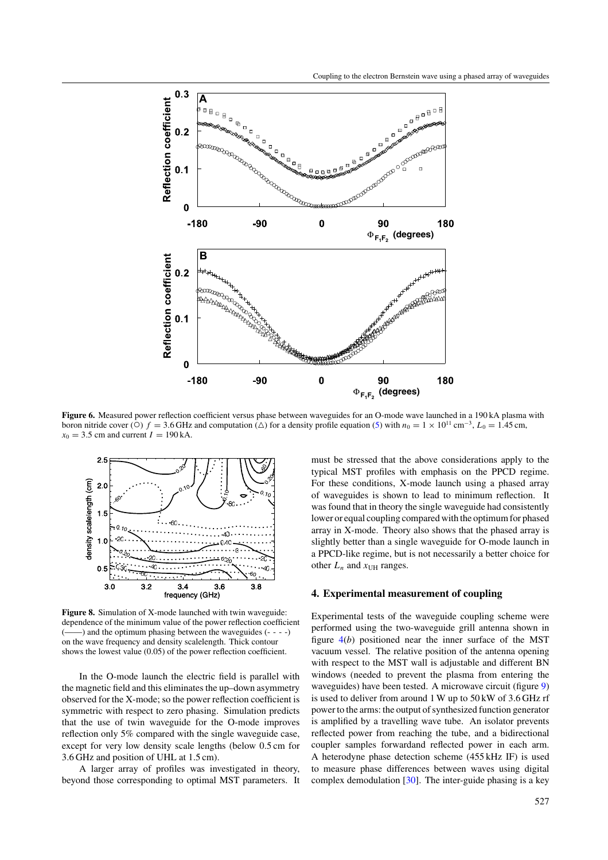<span id="page-6-0"></span>

**Figure 6.** Measured power reflection coefficient versus phase between waveguides for an O-mode wave launched in a 190 kA plasma with boron nitride cover (○)  $f = 3.6$  GHz and computation (△) for a density profile equation [\(5\)](#page-4-0) with  $n_0 = 1 \times 10^{11}$  cm<sup>-3</sup>,  $L_0 = 1.45$  cm,  $x_0 = 3.5$  cm and current  $I = 190$  kA.



**Figure 8.** Simulation of X-mode launched with twin waveguide: dependence of the minimum value of the power reflection coefficient (——) and the optimum phasing between the waveguides (- - - -) on the wave frequency and density scalelength. Thick contour shows the lowest value (0.05) of the power reflection coefficient.

In the O-mode launch the electric field is parallel with the magnetic field and this eliminates the up–down asymmetry observed for the X-mode; so the power reflection coefficient is symmetric with respect to zero phasing. Simulation predicts that the use of twin waveguide for the O-mode improves reflection only 5% compared with the single waveguide case, except for very low density scale lengths (below 0.5 cm for 3.6 GHz and position of UHL at 1.5 cm).

A larger array of profiles was investigated in theory, beyond those corresponding to optimal MST parameters. It must be stressed that the above considerations apply to the typical MST profiles with emphasis on the PPCD regime. For these conditions, X-mode launch using a phased array of waveguides is shown to lead to minimum reflection. It was found that in theory the single waveguide had consistently lower or equal coupling compared with the optimum for phased array in X-mode. Theory also shows that the phased array is slightly better than a single waveguide for O-mode launch in a PPCD-like regime, but is not necessarily a better choice for other  $L_n$  and  $x_{UH}$  ranges.

#### **4. Experimental measurement of coupling**

Experimental tests of the waveguide coupling scheme were performed using the two-waveguide grill antenna shown in figure [4\(](#page-4-0)*b*) positioned near the inner surface of the MST vacuum vessel. The relative position of the antenna opening with respect to the MST wall is adjustable and different BN windows (needed to prevent the plasma from entering the waveguides) have been tested. A microwave circuit (figure [9\)](#page-7-0) is used to deliver from around 1 W up to 50 kW of 3.6 GHz rf power to the arms: the output of synthesized function generator is amplified by a travelling wave tube. An isolator prevents reflected power from reaching the tube, and a bidirectional coupler samples forwardand reflected power in each arm. A heterodyne phase detection scheme (455 kHz IF) is used to measure phase differences between waves using digital complex demodulation [\[30\]](#page-10-0). The inter-guide phasing is a key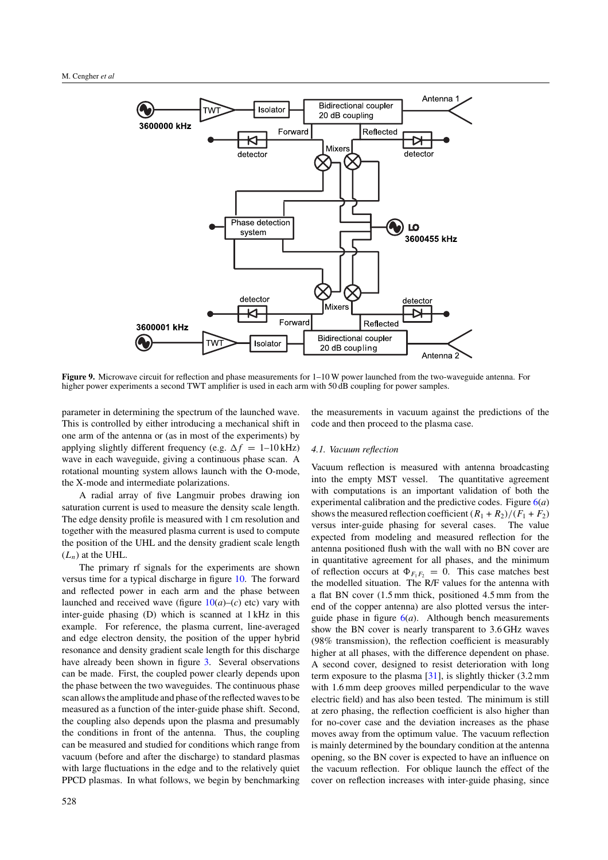<span id="page-7-0"></span>

**Figure 9.** Microwave circuit for reflection and phase measurements for  $1-10$  W power launched from the two-waveguide antenna. For higher power experiments a second TWT amplifier is used in each arm with 50 dB coupling for power samples.

parameter in determining the spectrum of the launched wave. This is controlled by either introducing a mechanical shift in one arm of the antenna or (as in most of the experiments) by applying slightly different frequency (e.g.  $\Delta f = 1-10 \text{ kHz}$ ) wave in each waveguide, giving a continuous phase scan. A rotational mounting system allows launch with the O-mode, the X-mode and intermediate polarizations.

A radial array of five Langmuir probes drawing ion saturation current is used to measure the density scale length. The edge density profile is measured with 1 cm resolution and together with the measured plasma current is used to compute the position of the UHL and the density gradient scale length  $(L_n)$  at the UHL.

The primary rf signals for the experiments are shown versus time for a typical discharge in figure [10.](#page-8-0) The forward and reflected power in each arm and the phase between launched and received wave (figure  $10(a)$  $10(a)$ –(*c*) etc) vary with inter-guide phasing (D) which is scanned at 1 kHz in this example. For reference, the plasma current, line-averaged and edge electron density, the position of the upper hybrid resonance and density gradient scale length for this discharge have already been shown in figure [3.](#page-3-0) Several observations can be made. First, the coupled power clearly depends upon the phase between the two waveguides. The continuous phase scan allows the amplitude and phase of the reflected waves to be measured as a function of the inter-guide phase shift. Second, the coupling also depends upon the plasma and presumably the conditions in front of the antenna. Thus, the coupling can be measured and studied for conditions which range from vacuum (before and after the discharge) to standard plasmas with large fluctuations in the edge and to the relatively quiet PPCD plasmas. In what follows, we begin by benchmarking

the measurements in vacuum against the predictions of the code and then proceed to the plasma case.

#### *4.1. Vacuum reflection*

Vacuum reflection is measured with antenna broadcasting into the empty MST vessel. The quantitative agreement with computations is an important validation of both the experimental calibration and the predictive codes. Figure  $6(a)$  $6(a)$ shows the measured reflection coefficient  $(R_1 + R_2)/(F_1 + F_2)$ versus inter-guide phasing for several cases. The value expected from modeling and measured reflection for the antenna positioned flush with the wall with no BN cover are in quantitative agreement for all phases, and the minimum of reflection occurs at  $\Phi_{F_1F_2} = 0$ . This case matches best the modelled situation. The R/F values for the antenna with a flat BN cover (1.5 mm thick, positioned 4.5 mm from the end of the copper antenna) are also plotted versus the interguide phase in figure  $6(a)$  $6(a)$ . Although bench measurements show the BN cover is nearly transparent to 3.6 GHz waves (98% transmission), the reflection coefficient is measurably higher at all phases, with the difference dependent on phase. A second cover, designed to resist deterioration with long term exposure to the plasma [\[31\]](#page-10-0), is slightly thicker (3.2 mm with 1.6 mm deep grooves milled perpendicular to the wave electric field) and has also been tested. The minimum is still at zero phasing, the reflection coefficient is also higher than for no-cover case and the deviation increases as the phase moves away from the optimum value. The vacuum reflection is mainly determined by the boundary condition at the antenna opening, so the BN cover is expected to have an influence on the vacuum reflection. For oblique launch the effect of the cover on reflection increases with inter-guide phasing, since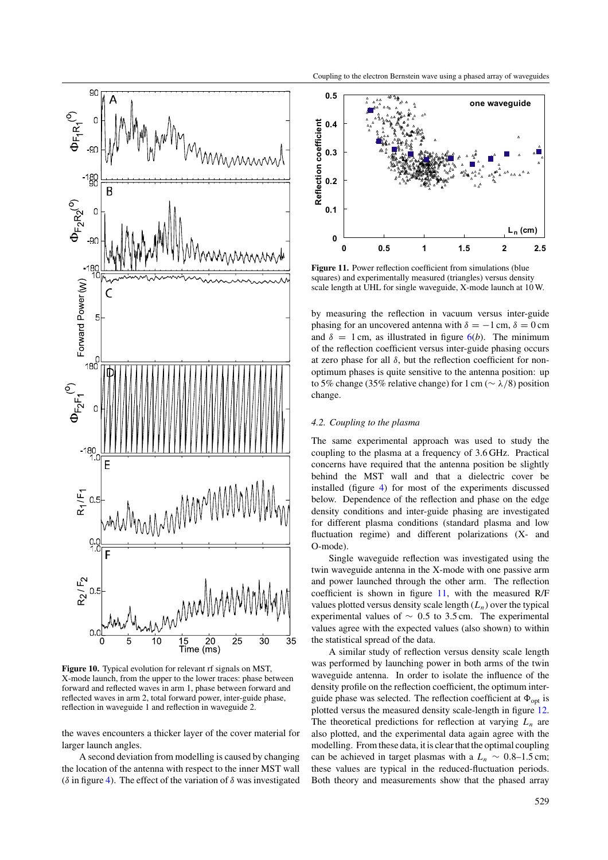<span id="page-8-0"></span>

**Figure 10.** Typical evolution for relevant rf signals on MST, X-mode launch, from the upper to the lower traces: phase between forward and reflected waves in arm 1, phase between forward and reflected waves in arm 2, total forward power, inter-guide phase, reflection in waveguide 1 and reflection in waveguide 2.

the waves encounters a thicker layer of the cover material for larger launch angles.

A second deviation from modelling is caused by changing the location of the antenna with respect to the inner MST wall (*δ* in figure [4\)](#page-4-0). The effect of the variation of *δ* was investigated



**Figure 11.** Power reflection coefficient from simulations (blue squares) and experimentally measured (triangles) versus density scale length at UHL for single waveguide, X-mode launch at 10 W.

by measuring the reflection in vacuum versus inter-guide phasing for an uncovered antenna with  $\delta = -1$  cm,  $\delta = 0$  cm and  $\delta = 1$  cm, as illustrated in figure  $6(b)$  $6(b)$ . The minimum of the reflection coefficient versus inter-guide phasing occurs at zero phase for all  $\delta$ , but the reflection coefficient for nonoptimum phases is quite sensitive to the antenna position: up to 5% change (35% relative change) for 1 cm (∼ *λ/*8) position change.

## *4.2. Coupling to the plasma*

The same experimental approach was used to study the coupling to the plasma at a frequency of 3.6 GHz. Practical concerns have required that the antenna position be slightly behind the MST wall and that a dielectric cover be installed (figure [4\)](#page-4-0) for most of the experiments discussed below. Dependence of the reflection and phase on the edge density conditions and inter-guide phasing are investigated for different plasma conditions (standard plasma and low fluctuation regime) and different polarizations (X- and O-mode).

Single waveguide reflection was investigated using the twin waveguide antenna in the X-mode with one passive arm and power launched through the other arm. The reflection coefficient is shown in figure 11, with the measured R/F values plotted versus density scale length  $(L_n)$  over the typical experimental values of  $\sim 0.5$  to 3.5 cm. The experimental values agree with the expected values (also shown) to within the statistical spread of the data.

A similar study of reflection versus density scale length was performed by launching power in both arms of the twin waveguide antenna. In order to isolate the influence of the density profile on the reflection coefficient, the optimum interguide phase was selected. The reflection coefficient at  $\Phi_{opt}$  is plotted versus the measured density scale-length in figure [12.](#page-9-0) The theoretical predictions for reflection at varying  $L_n$  are also plotted, and the experimental data again agree with the modelling. From these data, it is clear that the optimal coupling can be achieved in target plasmas with a  $L_n \sim 0.8-1.5$  cm; these values are typical in the reduced-fluctuation periods. Both theory and measurements show that the phased array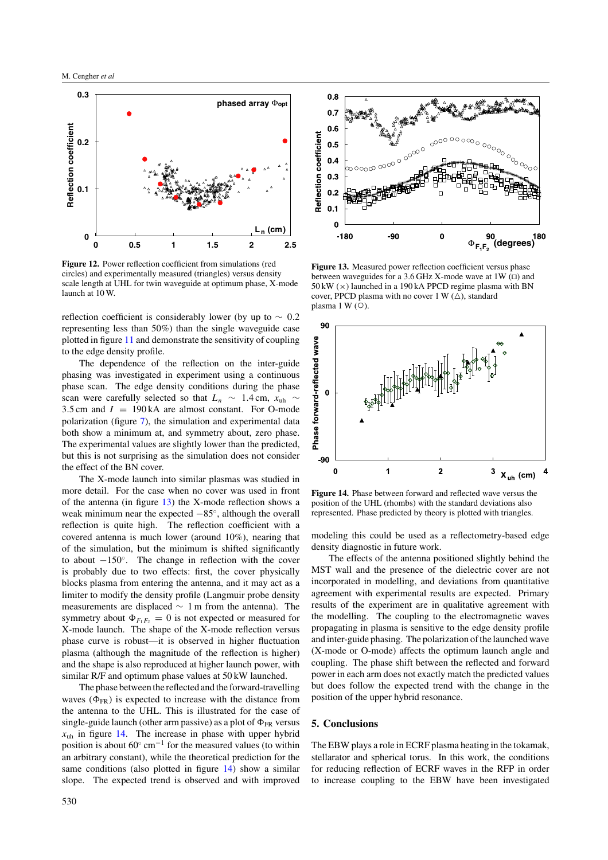<span id="page-9-0"></span>

**Figure 12.** Power reflection coefficient from simulations (red circles) and experimentally measured (triangles) versus density scale length at UHL for twin waveguide at optimum phase, X-mode launch at 10 W.

reflection coefficient is considerably lower (by up to ∼ 0*.*2 representing less than 50%) than the single waveguide case plotted in figure [11](#page-8-0) and demonstrate the sensitivity of coupling to the edge density profile.

The dependence of the reflection on the inter-guide phasing was investigated in experiment using a continuous phase scan. The edge density conditions during the phase scan were carefully selected so that  $L_n \sim 1.4$  cm,  $x_{uh} \sim$ 3.5 cm and  $I = 190 \text{ kA}$  are almost constant. For O-mode polarization (figure [7\)](#page-5-0), the simulation and experimental data both show a minimum at, and symmetry about, zero phase. The experimental values are slightly lower than the predicted, but this is not surprising as the simulation does not consider the effect of the BN cover.

The X-mode launch into similar plasmas was studied in more detail. For the case when no cover was used in front of the antenna (in figure 13) the X-mode reflection shows a weak minimum near the expected −85◦, although the overall reflection is quite high. The reflection coefficient with a covered antenna is much lower (around 10%), nearing that of the simulation, but the minimum is shifted significantly to about −150◦. The change in reflection with the cover is probably due to two effects: first, the cover physically blocks plasma from entering the antenna, and it may act as a limiter to modify the density profile (Langmuir probe density measurements are displaced ∼ 1 m from the antenna). The symmetry about  $\Phi_{F_1F_2} = 0$  is not expected or measured for X-mode launch. The shape of the X-mode reflection versus phase curve is robust—it is observed in higher fluctuation plasma (although the magnitude of the reflection is higher) and the shape is also reproduced at higher launch power, with similar R/F and optimum phase values at 50 kW launched.

The phase between the reflected and the forward-travelling waves  $(\Phi_{FR})$  is expected to increase with the distance from the antenna to the UHL. This is illustrated for the case of single-guide launch (other arm passive) as a plot of  $\Phi_{FR}$  versus  $x<sub>uh</sub>$  in figure 14. The increase in phase with upper hybrid position is about  $60°$  cm<sup>-1</sup> for the measured values (to within an arbitrary constant), while the theoretical prediction for the same conditions (also plotted in figure 14) show a similar slope. The expected trend is observed and with improved



**Figure 13.** Measured power reflection coefficient versus phase between waveguides for a 3.6 GHz X-mode wave at  $1W(\square)$  and  $50 \text{kW}$  ( $\times$ ) launched in a 190 kA PPCD regime plasma with BN cover, PPCD plasma with no cover 1 W  $(\triangle)$ , standard plasma  $1 W(①)$ .



**Figure 14.** Phase between forward and reflected wave versus the position of the UHL (rhombs) with the standard deviations also represented. Phase predicted by theory is plotted with triangles.

modeling this could be used as a reflectometry-based edge density diagnostic in future work.

The effects of the antenna positioned slightly behind the MST wall and the presence of the dielectric cover are not incorporated in modelling, and deviations from quantitative agreement with experimental results are expected. Primary results of the experiment are in qualitative agreement with the modelling. The coupling to the electromagnetic waves propagating in plasma is sensitive to the edge density profile and inter-guide phasing. The polarization of the launched wave (X-mode or O-mode) affects the optimum launch angle and coupling. The phase shift between the reflected and forward power in each arm does not exactly match the predicted values but does follow the expected trend with the change in the position of the upper hybrid resonance.

# **5. Conclusions**

The EBW plays a role in ECRF plasma heating in the tokamak, stellarator and spherical torus. In this work, the conditions for reducing reflection of ECRF waves in the RFP in order to increase coupling to the EBW have been investigated